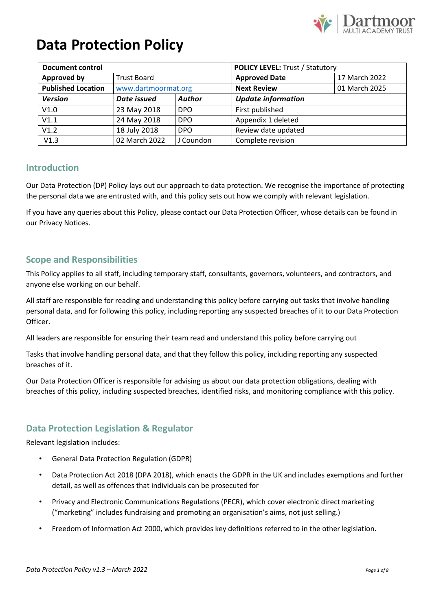

| <b>Document control</b>   |                     |               | <b>POLICY LEVEL: Trust / Statutory</b> |               |
|---------------------------|---------------------|---------------|----------------------------------------|---------------|
| Approved by               | <b>Trust Board</b>  |               | <b>Approved Date</b>                   | 17 March 2022 |
| <b>Published Location</b> | www.dartmoormat.org |               | <b>Next Review</b>                     | 01 March 2025 |
| <b>Version</b>            | Date issued         | <b>Author</b> | <b>Update information</b>              |               |
| V1.0                      | 23 May 2018         | DPO           | First published                        |               |
| V1.1                      | 24 May 2018         | <b>DPO</b>    | Appendix 1 deleted                     |               |
| V1.2                      | 18 July 2018        | <b>DPO</b>    | Review date updated                    |               |
| V1.3                      | 02 March 2022       | J Coundon     | Complete revision                      |               |

### **Introduction**

Our Data Protection (DP) Policy lays out our approach to data protection. We recognise the importance of protecting the personal data we are entrusted with, and this policy sets out how we comply with relevant legislation.

If you have any queries about this Policy, please contact our Data Protection Officer, whose details can be found in our Privacy Notices.

### **Scope and Responsibilities**

This Policy applies to all staff, including temporary staff, consultants, governors, volunteers, and contractors, and anyone else working on our behalf.

All staff are responsible for reading and understanding this policy before carrying out tasks that involve handling personal data, and for following this policy, including reporting any suspected breaches of it to our Data Protection Officer.

All leaders are responsible for ensuring their team read and understand this policy before carrying out

Tasks that involve handling personal data, and that they follow this policy, including reporting any suspected breaches of it.

Our Data Protection Officer is responsible for advising us about our data protection obligations, dealing with breaches of this policy, including suspected breaches, identified risks, and monitoring compliance with this policy.

## **Data Protection Legislation & Regulator**

Relevant legislation includes:

- General Data Protection Regulation (GDPR)
- Data Protection Act 2018 (DPA 2018), which enacts the GDPR in the UK and includes exemptions and further detail, as well as offences that individuals can be prosecuted for
- Privacy and Electronic Communications Regulations (PECR), which cover electronic direct marketing ("marketing" includes fundraising and promoting an organisation's aims, not just selling.)
- Freedom of Information Act 2000, which provides key definitions referred to in the other legislation.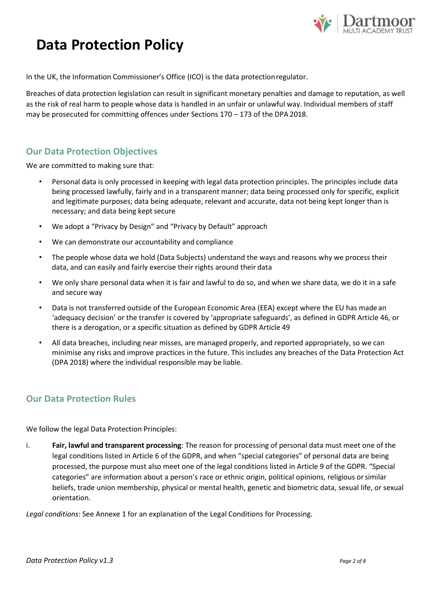

In the UK, the Information Commissioner's Office (ICO) is the data protectionregulator.

Breaches of data protection legislation can result in significant monetary penalties and damage to reputation, as well as the risk of real harm to people whose data is handled in an unfair or unlawful way. Individual members of staff may be prosecuted for committing offences under Sections 170 – 173 of the DPA 2018.

### **Our Data Protection Objectives**

We are committed to making sure that:

- Personal data is only processed in keeping with legal data protection principles. The principles include data being processed lawfully, fairly and in a transparent manner; data being processed only for specific, explicit and legitimate purposes; data being adequate, relevant and accurate, data not being kept longer than is necessary; and data being kept secure
- We adopt a "Privacy by Design" and "Privacy by Default" approach
- We can demonstrate our accountability and compliance
- The people whose data we hold (Data Subjects) understand the ways and reasons why we process their data, and can easily and fairly exercise their rights around their data
- We only share personal data when it is fair and lawful to do so, and when we share data, we do it in a safe and secure way
- Data is not transferred outside of the European Economic Area (EEA) except where the EU has made an 'adequacy decision' or the transfer is covered by 'appropriate safeguards', as defined in GDPR Article 46, or there is a derogation, or a specific situation as defined by GDPR Article 49
- All data breaches, including near misses, are managed properly, and reported appropriately, so we can minimise any risks and improve practices in the future. This includes any breaches of the Data Protection Act (DPA 2018) where the individual responsible may be liable.

## **Our Data Protection Rules**

We follow the legal Data Protection Principles:

i. **Fair, lawful and transparent processing**: The reason for processing of personal data must meet one of the legal conditions listed in Article 6 of the GDPR, and when "special categories" of personal data are being processed, the purpose must also meet one of the legal conditions listed in Article 9 of the GDPR. "Special categories" are information about a person's race or ethnic origin, political opinions, religious orsimilar beliefs, trade union membership, physical or mental health, genetic and biometric data, sexual life, or sexual orientation.

*Legal conditions*: See Annexe 1 for an explanation of the Legal Conditions for Processing.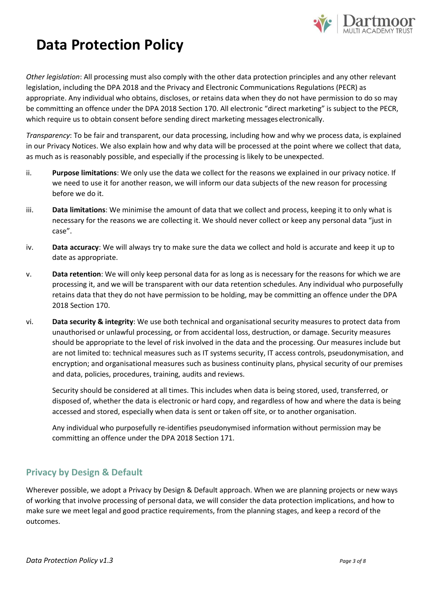

*Other legislation*: All processing must also comply with the other data protection principles and any other relevant legislation, including the DPA 2018 and the Privacy and Electronic Communications Regulations (PECR) as appropriate. Any individual who obtains, discloses, or retains data when they do not have permission to do so may be committing an offence under the DPA 2018 Section 170. All electronic "direct marketing" is subject to the PECR, which require us to obtain consent before sending direct marketing messages electronically.

*Transparency*: To be fair and transparent, our data processing, including how and why we process data, is explained in our Privacy Notices. We also explain how and why data will be processed at the point where we collect that data, as much as is reasonably possible, and especially if the processing is likely to be unexpected.

- ii. **Purpose limitations**: We only use the data we collect for the reasons we explained in our privacy notice. If we need to use it for another reason, we will inform our data subjects of the new reason for processing before we do it.
- iii. **Data limitations**: We minimise the amount of data that we collect and process, keeping it to only what is necessary for the reasons we are collecting it. We should never collect or keep any personal data "just in case".
- iv. **Data accuracy**: We will always try to make sure the data we collect and hold is accurate and keep it up to date as appropriate.
- v. **Data retention**: We will only keep personal data for as long as is necessary for the reasons for which we are processing it, and we will be transparent with our data retention schedules. Any individual who purposefully retains data that they do not have permission to be holding, may be committing an offence under the DPA 2018 Section 170.
- vi. **Data security & integrity**: We use both technical and organisational security measures to protect data from unauthorised or unlawful processing, or from accidental loss, destruction, or damage. Security measures should be appropriate to the level of risk involved in the data and the processing. Our measures include but are not limited to: technical measures such as IT systems security, IT access controls, pseudonymisation, and encryption; and organisational measures such as business continuity plans, physical security of our premises and data, policies, procedures, training, audits and reviews.

Security should be considered at all times. This includes when data is being stored, used, transferred, or disposed of, whether the data is electronic or hard copy, and regardless of how and where the data is being accessed and stored, especially when data is sent or taken off site, or to another organisation.

Any individual who purposefully re-identifies pseudonymised information without permission may be committing an offence under the DPA 2018 Section 171.

## **Privacy by Design & Default**

Wherever possible, we adopt a Privacy by Design & Default approach. When we are planning projects or new ways of working that involve processing of personal data, we will consider the data protection implications, and how to make sure we meet legal and good practice requirements, from the planning stages, and keep a record of the outcomes.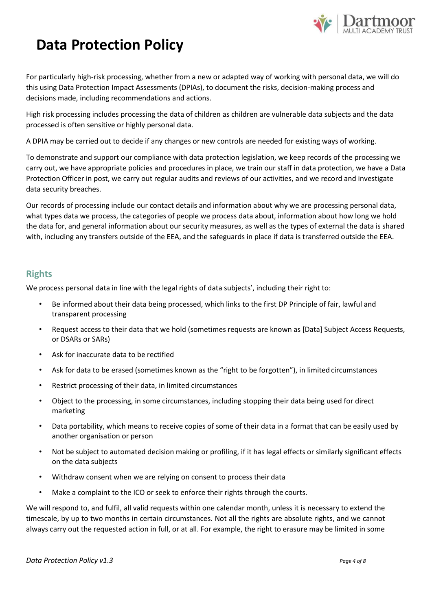

For particularly high-risk processing, whether from a new or adapted way of working with personal data, we will do this using Data Protection Impact Assessments (DPIAs), to document the risks, decision-making process and decisions made, including recommendations and actions.

High risk processing includes processing the data of children as children are vulnerable data subjects and the data processed is often sensitive or highly personal data.

A DPIA may be carried out to decide if any changes or new controls are needed for existing ways of working.

To demonstrate and support our compliance with data protection legislation, we keep records of the processing we carry out, we have appropriate policies and procedures in place, we train our staff in data protection, we have a Data Protection Officer in post, we carry out regular audits and reviews of our activities, and we record and investigate data security breaches.

Our records of processing include our contact details and information about why we are processing personal data, what types data we process, the categories of people we process data about, information about how long we hold the data for, and general information about our security measures, as well as the types of external the data is shared with, including any transfers outside of the EEA, and the safeguards in place if data is transferred outside the EEA.

## **Rights**

We process personal data in line with the legal rights of data subjects', including their right to:

- Be informed about their data being processed, which links to the first DP Principle of fair, lawful and transparent processing
- Request access to their data that we hold (sometimes requests are known as [Data] Subject Access Requests, or DSARs or SARs)
- Ask for inaccurate data to be rectified
- Ask for data to be erased (sometimes known as the "right to be forgotten"), in limited circumstances
- Restrict processing of their data, in limited circumstances
- Object to the processing, in some circumstances, including stopping their data being used for direct marketing
- Data portability, which means to receive copies of some of their data in a format that can be easily used by another organisation or person
- Not be subject to automated decision making or profiling, if it has legal effects or similarly significant effects on the data subjects
- Withdraw consent when we are relying on consent to process their data
- Make a complaint to the ICO or seek to enforce their rights through the courts.

We will respond to, and fulfil, all valid requests within one calendar month, unless it is necessary to extend the timescale, by up to two months in certain circumstances. Not all the rights are absolute rights, and we cannot always carry out the requested action in full, or at all. For example, the right to erasure may be limited in some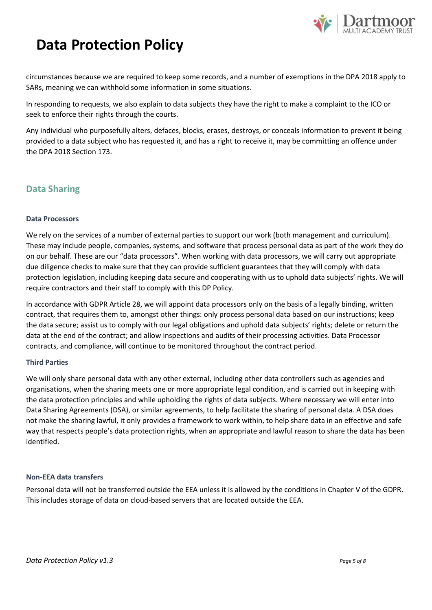

circumstances because we are required to keep some records, and a number of exemptions in the DPA 2018 apply to SARs, meaning we can withhold some information in some situations.

In responding to requests, we also explain to data subjects they have the right to make a complaint to the ICO or seek to enforce their rights through the courts.

Any individual who purposefully alters, defaces, blocks, erases, destroys, or conceals information to prevent it being provided to a data subject who has requested it, and has a right to receive it, may be committing an offence under the DPA 2018 Section 173.

### **Data Sharing**

#### **Data Processors**

We rely on the services of a number of external parties to support our work (both management and curriculum). These may include people, companies, systems, and software that process personal data as part of the work they do on our behalf. These are our "data processors". When working with data processors, we will carry out appropriate due diligence checks to make sure that they can provide sufficient guarantees that they will comply with data protection legislation, including keeping data secure and cooperating with us to uphold data subjects' rights. We will require contractors and their staff to comply with this DP Policy.

In accordance with GDPR Article 28, we will appoint data processors only on the basis of a legally binding, written contract, that requires them to, amongst other things: only process personal data based on our instructions; keep the data secure; assist us to comply with our legal obligations and uphold data subjects' rights; delete or return the data at the end of the contract; and allow inspections and audits of their processing activities. Data Processor contracts, and compliance, will continue to be monitored throughout the contract period.

#### **Third Parties**

We will only share personal data with any other external, including other data controllers such as agencies and organisations, when the sharing meets one or more appropriate legal condition, and is carried out in keeping with the data protection principles and while upholding the rights of data subjects. Where necessary we will enter into Data Sharing Agreements (DSA), or similar agreements, to help facilitate the sharing of personal data. A DSA does not make the sharing lawful, it only provides a framework to work within, to help share data in an effective and safe way that respects people's data protection rights, when an appropriate and lawful reason to share the data has been identified.

#### **Non-EEA data transfers**

Personal data will not be transferred outside the EEA unless it is allowed by the conditions in Chapter V of the GDPR. This includes storage of data on cloud-based servers that are located outside the EEA.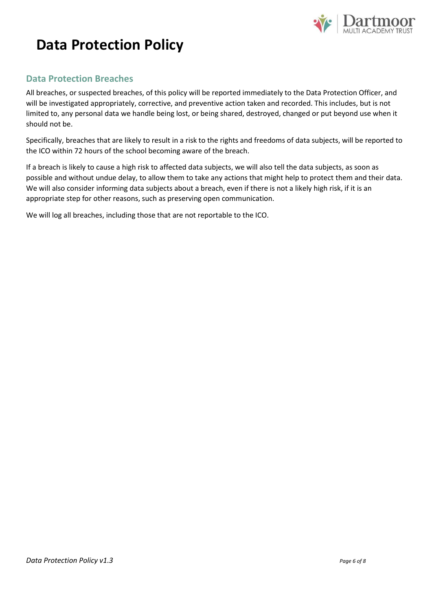

## **Data Protection Breaches**

All breaches, or suspected breaches, of this policy will be reported immediately to the Data Protection Officer, and will be investigated appropriately, corrective, and preventive action taken and recorded. This includes, but is not limited to, any personal data we handle being lost, or being shared, destroyed, changed or put beyond use when it should not be.

Specifically, breaches that are likely to result in a risk to the rights and freedoms of data subjects, will be reported to the ICO within 72 hours of the school becoming aware of the breach.

If a breach is likely to cause a high risk to affected data subjects, we will also tell the data subjects, as soon as possible and without undue delay, to allow them to take any actions that might help to protect them and their data. We will also consider informing data subjects about a breach, even if there is not a likely high risk, if it is an appropriate step for other reasons, such as preserving open communication.

We will log all breaches, including those that are not reportable to the ICO.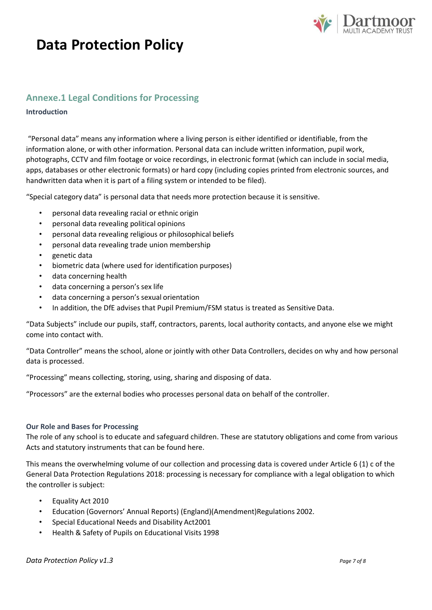

### **Annexe.1 Legal Conditions for Processing**

#### **Introduction**

"Personal data" means any information where a living person is either identified or identifiable, from the information alone, or with other information. Personal data can include written information, pupil work, photographs, CCTV and film footage or voice recordings, in electronic format (which can include in social media, apps, databases or other electronic formats) or hard copy (including copies printed from electronic sources, and handwritten data when it is part of a filing system or intended to be filed).

"Special category data" is personal data that needs more protection because it is sensitive.

- personal data revealing racial or ethnic origin
- personal data revealing political opinions
- personal data revealing religious or philosophical beliefs
- personal data revealing trade union membership
- genetic data
- biometric data (where used for identification purposes)
- data concerning health
- data concerning a person's sex life
- data concerning a person's sexual orientation
- In addition, the DfE advises that Pupil Premium/FSM status is treated as Sensitive Data.

"Data Subjects" include our pupils, staff, contractors, parents, local authority contacts, and anyone else we might come into contact with.

"Data Controller" means the school, alone or jointly with other Data Controllers, decides on why and how personal data is processed.

"Processing" means collecting, storing, using, sharing and disposing of data.

"Processors" are the external bodies who processes personal data on behalf of the controller.

#### **Our Role and Bases for Processing**

The role of any school is to educate and safeguard children. These are statutory obligations and come from various Acts and statutory instruments that can be found here.

This means the overwhelming volume of our collection and processing data is covered under Article 6 (1) c of the General Data Protection Regulations 2018: processing is necessary for compliance with a legal obligation to which the controller is subject:

- Equality Act 2010
- Education (Governors' Annual Reports) (England)(Amendment)Regulations 2002.
- Special Educational Needs and Disability Act2001
- Health & Safety of Pupils on Educational Visits 1998